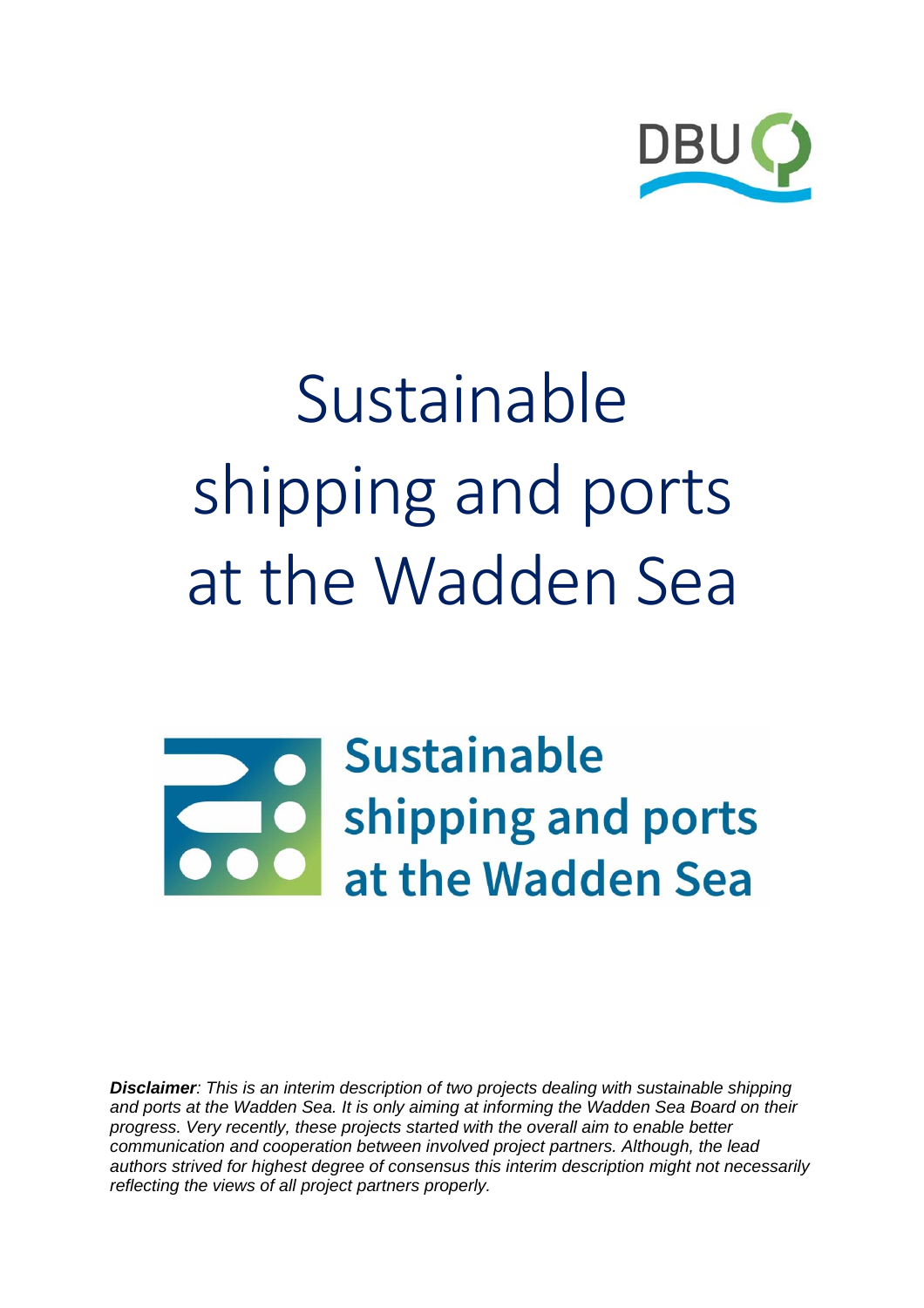

# Sustainable shipping and ports at the Wadden Sea

**Sustainable** shipping and ports at the Wadden Sea

*Disclaimer: This is an interim description of two projects dealing with sustainable shipping and ports at the Wadden Sea. It is only aiming at informing the Wadden Sea Board on their progress. Very recently, these projects started with the overall aim to enable better communication and cooperation between involved project partners. Although, the lead authors strived for highest degree of consensus this interim description might not necessarily reflecting the views of all project partners properly.*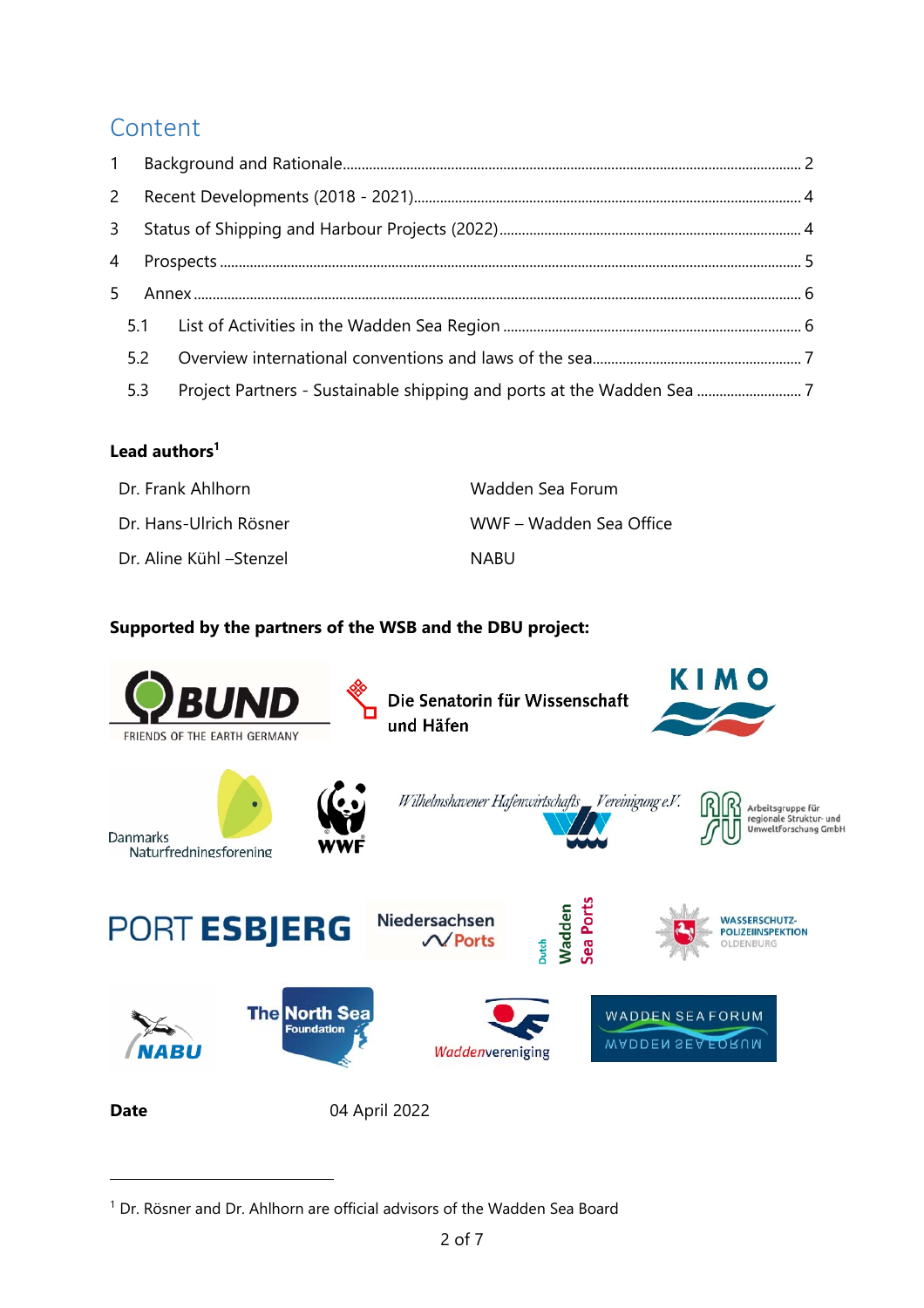## Content

| $\mathsf{2}$   |     |                                                                        |  |
|----------------|-----|------------------------------------------------------------------------|--|
| $\mathbf{3}$   |     |                                                                        |  |
| $\overline{4}$ |     |                                                                        |  |
| 5              |     |                                                                        |  |
|                |     |                                                                        |  |
|                | 5.2 |                                                                        |  |
|                | 5.3 | Project Partners - Sustainable shipping and ports at the Wadden Sea  7 |  |

#### **Lead authors<sup>1</sup>**

-

| Dr. Frank Ahlhorn       | Wadden Sea Forum        |
|-------------------------|-------------------------|
| Dr. Hans-Ulrich Rösner  | WWF – Wadden Sea Office |
| Dr. Aline Kühl –Stenzel | <b>NABU</b>             |

#### **Supported by the partners of the WSB and the DBU project:**



<sup>&</sup>lt;sup>1</sup> Dr. Rösner and Dr. Ahlhorn are official advisors of the Wadden Sea Board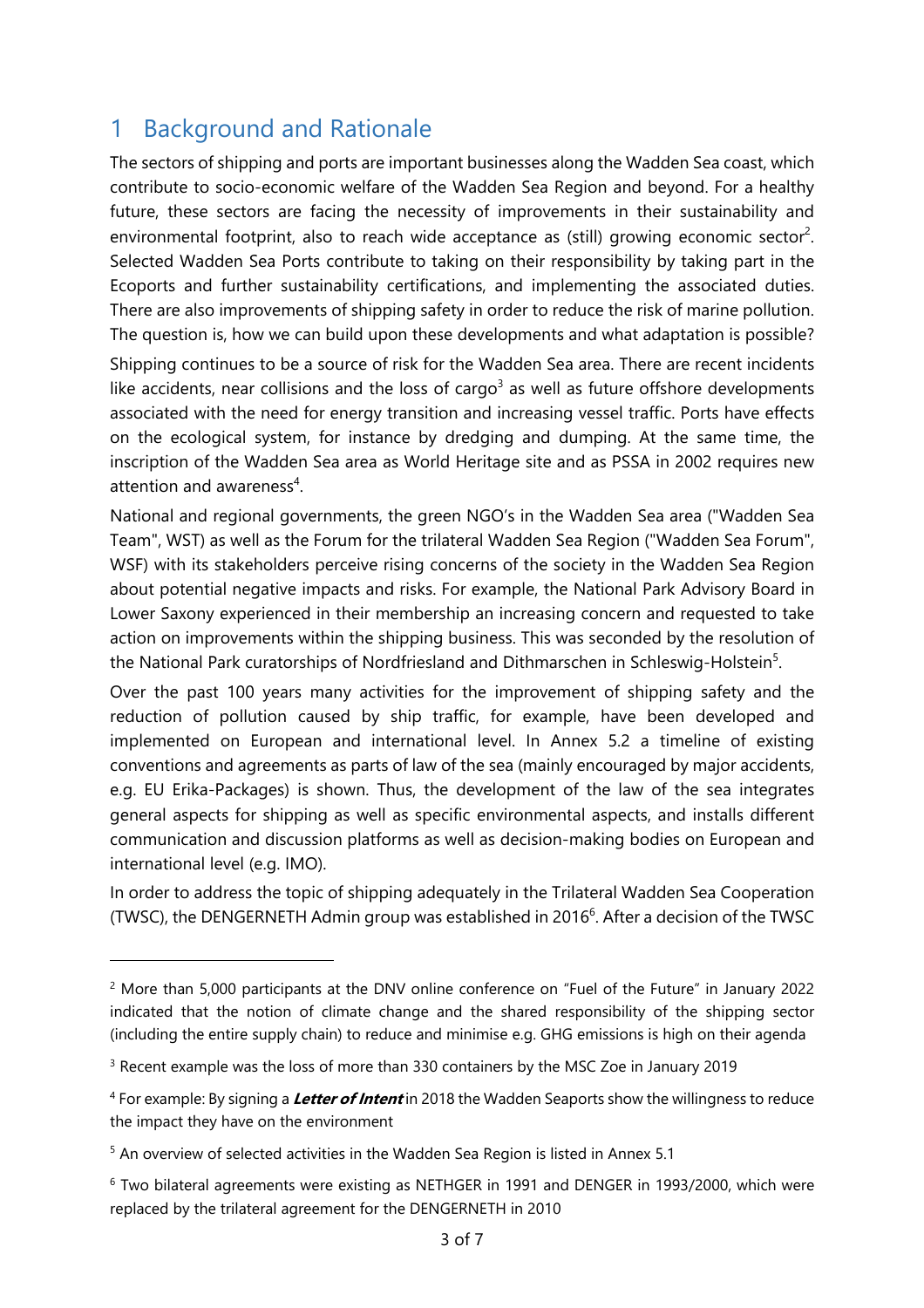# 1 Background and Rationale

The sectors of shipping and ports are important businesses along the Wadden Sea coast, which contribute to socio-economic welfare of the Wadden Sea Region and beyond. For a healthy future, these sectors are facing the necessity of improvements in their sustainability and environmental footprint, also to reach wide acceptance as (still) growing economic sector<sup>2</sup>. Selected Wadden Sea Ports contribute to taking on their responsibility by taking part in the Ecoports and further sustainability certifications, and implementing the associated duties. There are also improvements of shipping safety in order to reduce the risk of marine pollution. The question is, how we can build upon these developments and what adaptation is possible?

Shipping continues to be a source of risk for the Wadden Sea area. There are recent incidents like accidents, near collisions and the loss of cargo<sup>3</sup> as well as future offshore developments associated with the need for energy transition and increasing vessel traffic. Ports have effects on the ecological system, for instance by dredging and dumping. At the same time, the inscription of the Wadden Sea area as World Heritage site and as PSSA in 2002 requires new attention and awareness<sup>4</sup>.

National and regional governments, the green NGO's in the Wadden Sea area ("Wadden Sea Team", WST) as well as the Forum for the trilateral Wadden Sea Region ("Wadden Sea Forum", WSF) with its stakeholders perceive rising concerns of the society in the Wadden Sea Region about potential negative impacts and risks. For example, the National Park Advisory Board in Lower Saxony experienced in their membership an increasing concern and requested to take action on improvements within the shipping business. This was seconded by the resolution of the National Park curatorships of Nordfriesland and Dithmarschen in Schleswig-Holstein<sup>5</sup>.

Over the past 100 years many activities for the improvement of shipping safety and the reduction of pollution caused by ship traffic, for example, have been developed and implemented on European and international level. In Annex 5.2 a timeline of existing conventions and agreements as parts of law of the sea (mainly encouraged by major accidents, e.g. EU Erika-Packages) is shown. Thus, the development of the law of the sea integrates general aspects for shipping as well as specific environmental aspects, and installs different communication and discussion platforms as well as decision-making bodies on European and international level (e.g. IMO).

In order to address the topic of shipping adequately in the Trilateral Wadden Sea Cooperation (TWSC), the DENGERNETH Admin group was established in 2016 $<sup>6</sup>$ . After a decision of the TWSC</sup>

<sup>&</sup>lt;sup>2</sup> More than 5,000 participants at the DNV online conference on "Fuel of the Future" in January 2022 indicated that the notion of climate change and the shared responsibility of the shipping sector (including the entire supply chain) to reduce and minimise e.g. GHG emissions is high on their agenda

<sup>&</sup>lt;sup>3</sup> Recent example was the loss of more than 330 containers by the MSC Zoe in January 2019

<sup>4</sup> For example: By signing a **Letter of Intent** in 2018 the Wadden Seaports show the willingness to reduce the impact they have on the environment

<sup>5</sup> An overview of selected activities in the Wadden Sea Region is listed in Annex 5.1

<sup>6</sup> Two bilateral agreements were existing as NETHGER in 1991 and DENGER in 1993/2000, which were replaced by the trilateral agreement for the DENGERNETH in 2010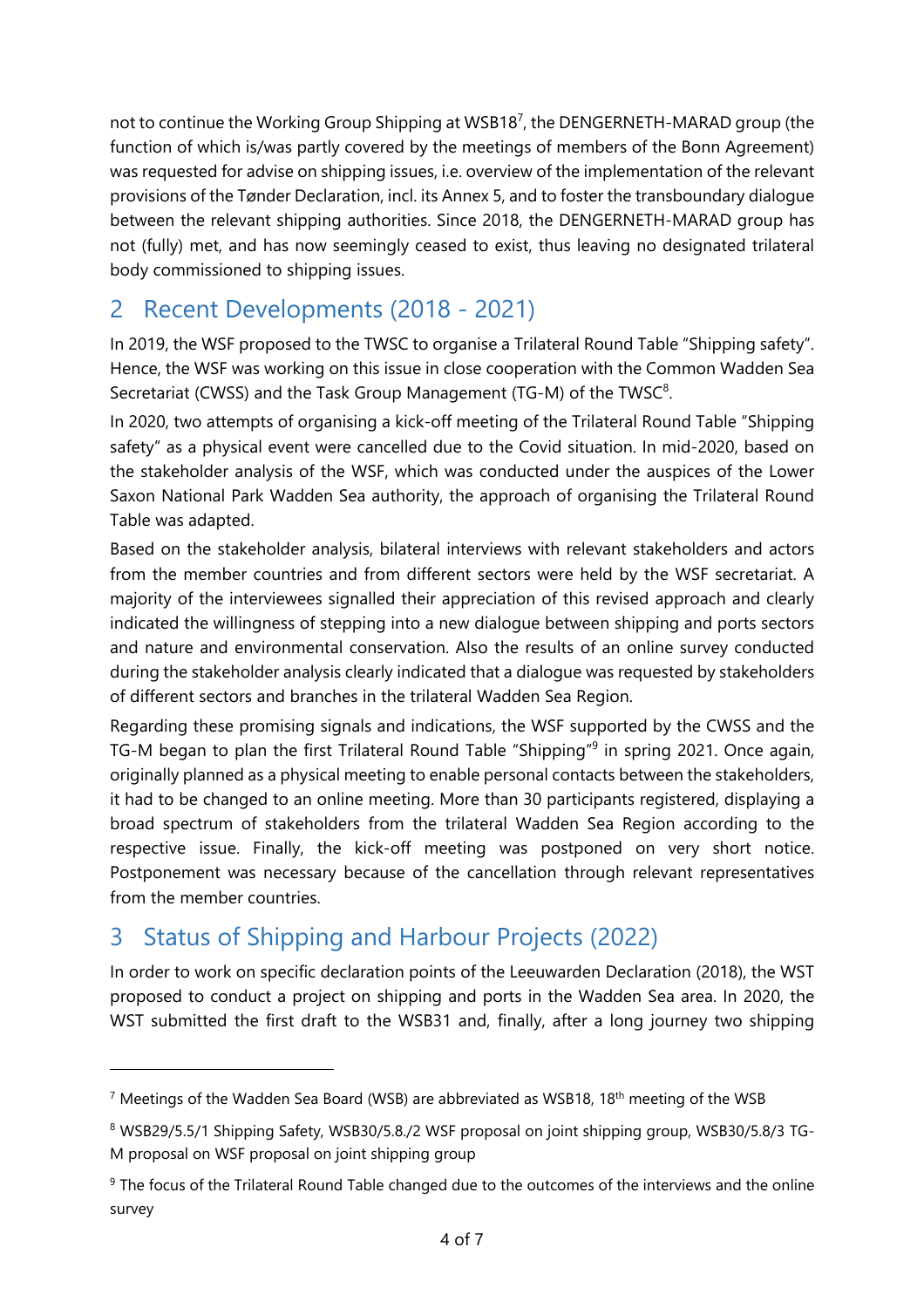not to continue the Working Group Shipping at WSB18<sup>7</sup>, the DENGERNETH-MARAD group (the function of which is/was partly covered by the meetings of members of the Bonn Agreement) was requested for advise on shipping issues, i.e. overview of the implementation of the relevant provisions of the Tønder Declaration, incl. its Annex 5, and to foster the transboundary dialogue between the relevant shipping authorities. Since 2018, the DENGERNETH-MARAD group has not (fully) met, and has now seemingly ceased to exist, thus leaving no designated trilateral body commissioned to shipping issues.

# 2 Recent Developments (2018 - 2021)

In 2019, the WSF proposed to the TWSC to organise a Trilateral Round Table "Shipping safety". Hence, the WSF was working on this issue in close cooperation with the Common Wadden Sea Secretariat (CWSS) and the Task Group Management (TG-M) of the TWSC $8$ .

In 2020, two attempts of organising a kick-off meeting of the Trilateral Round Table "Shipping safety" as a physical event were cancelled due to the Covid situation. In mid-2020, based on the stakeholder analysis of the WSF, which was conducted under the auspices of the Lower Saxon National Park Wadden Sea authority, the approach of organising the Trilateral Round Table was adapted.

Based on the stakeholder analysis, bilateral interviews with relevant stakeholders and actors from the member countries and from different sectors were held by the WSF secretariat. A majority of the interviewees signalled their appreciation of this revised approach and clearly indicated the willingness of stepping into a new dialogue between shipping and ports sectors and nature and environmental conservation. Also the results of an online survey conducted during the stakeholder analysis clearly indicated that a dialogue was requested by stakeholders of different sectors and branches in the trilateral Wadden Sea Region.

Regarding these promising signals and indications, the WSF supported by the CWSS and the TG-M began to plan the first Trilateral Round Table "Shipping"<sup>9</sup> in spring 2021. Once again, originally planned as a physical meeting to enable personal contacts between the stakeholders, it had to be changed to an online meeting. More than 30 participants registered, displaying a broad spectrum of stakeholders from the trilateral Wadden Sea Region according to the respective issue. Finally, the kick-off meeting was postponed on very short notice. Postponement was necessary because of the cancellation through relevant representatives from the member countries.

# 3 Status of Shipping and Harbour Projects (2022)

-

In order to work on specific declaration points of the Leeuwarden Declaration (2018), the WST proposed to conduct a project on shipping and ports in the Wadden Sea area. In 2020, the WST submitted the first draft to the WSB31 and, finally, after a long journey two shipping

<sup>&</sup>lt;sup>7</sup> Meetings of the Wadden Sea Board (WSB) are abbreviated as WSB18, 18<sup>th</sup> meeting of the WSB

<sup>8</sup> WSB29/5.5/1 Shipping Safety, WSB30/5.8./2 WSF proposal on joint shipping group, WSB30/5.8/3 TG-M proposal on WSF proposal on joint shipping group

<sup>9</sup> The focus of the Trilateral Round Table changed due to the outcomes of the interviews and the online survey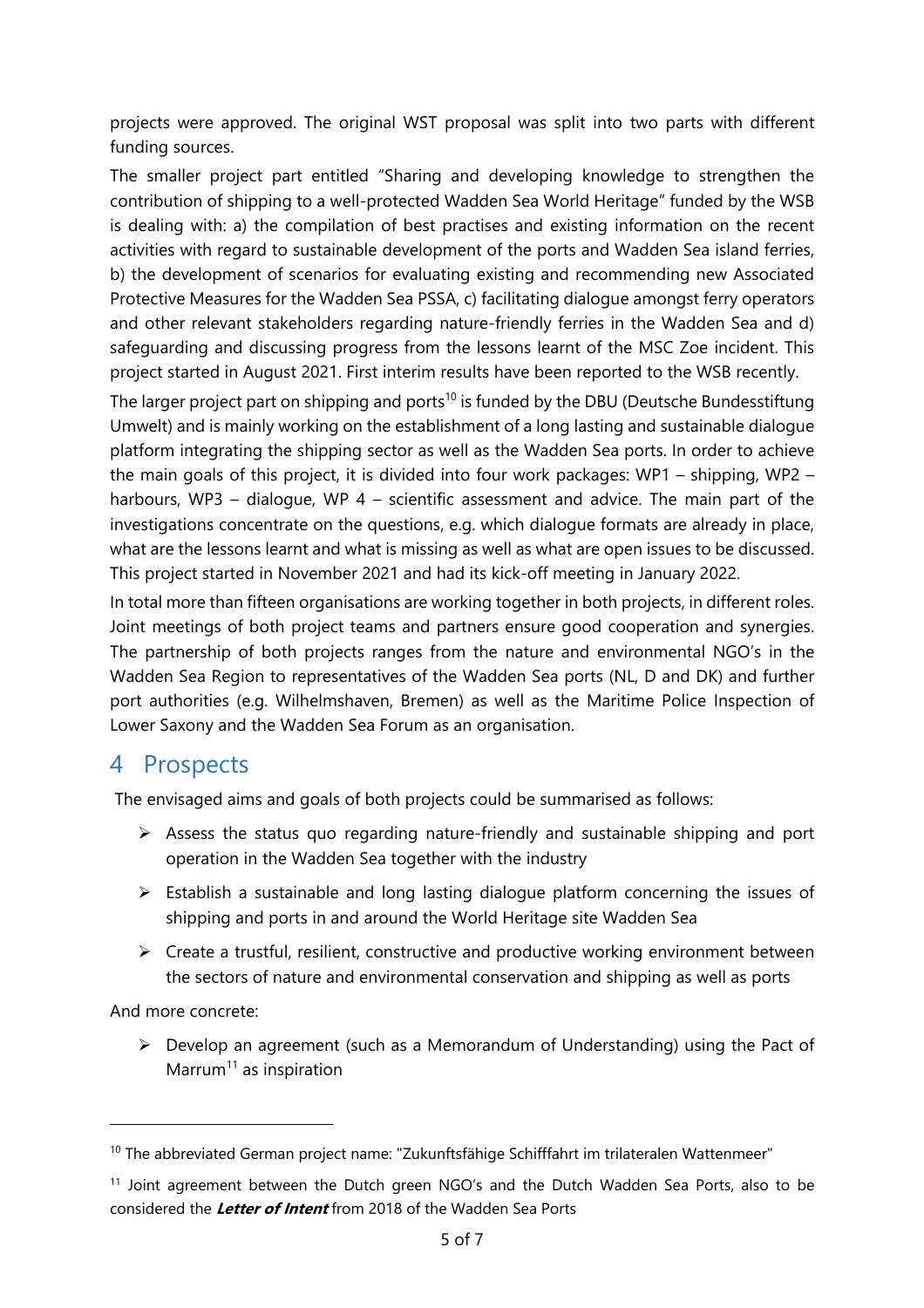projects were approved. The original WST proposal was split into two parts with different funding sources.

The smaller project part entitled "Sharing and developing knowledge to strengthen the contribution of shipping to a well-protected Wadden Sea World Heritage" funded by the WSB is dealing with: a) the compilation of best practises and existing information on the recent activities with regard to sustainable development of the ports and Wadden Sea island ferries, b) the development of scenarios for evaluating existing and recommending new Associated Protective Measures for the Wadden Sea PSSA, c) facilitating dialogue amongst ferry operators and other relevant stakeholders regarding nature-friendly ferries in the Wadden Sea and d) safeguarding and discussing progress from the lessons learnt of the MSC Zoe incident. This project started in August 2021. First interim results have been reported to the WSB recently.

The larger project part on shipping and ports<sup>10</sup> is funded by the DBU (Deutsche Bundesstiftung Umwelt) and is mainly working on the establishment of a long lasting and sustainable dialogue platform integrating the shipping sector as well as the Wadden Sea ports. In order to achieve the main goals of this project, it is divided into four work packages: WP1 – shipping, WP2 – harbours, WP3 – dialogue, WP 4 – scientific assessment and advice. The main part of the investigations concentrate on the questions, e.g. which dialogue formats are already in place, what are the lessons learnt and what is missing as well as what are open issues to be discussed. This project started in November 2021 and had its kick-off meeting in January 2022.

In total more than fifteen organisations are working together in both projects, in different roles. Joint meetings of both project teams and partners ensure good cooperation and synergies. The partnership of both projects ranges from the nature and environmental NGO's in the Wadden Sea Region to representatives of the Wadden Sea ports (NL, D and DK) and further port authorities (e.g. Wilhelmshaven, Bremen) as well as the Maritime Police Inspection of Lower Saxony and the Wadden Sea Forum as an organisation.

## 4 Prospects

The envisaged aims and goals of both projects could be summarised as follows:

- $\triangleright$  Assess the status quo regarding nature-friendly and sustainable shipping and port operation in the Wadden Sea together with the industry
- $\triangleright$  Establish a sustainable and long lasting dialogue platform concerning the issues of shipping and ports in and around the World Heritage site Wadden Sea
- $\triangleright$  Create a trustful, resilient, constructive and productive working environment between the sectors of nature and environmental conservation and shipping as well as ports

And more concrete:

 $\triangleright$  Develop an agreement (such as a Memorandum of Understanding) using the Pact of Marrum<sup>11</sup> as inspiration

<sup>&</sup>lt;sup>10</sup> The abbreviated German project name: "Zukunftsfähige Schifffahrt im trilateralen Wattenmeer"

<sup>&</sup>lt;sup>11</sup> Joint agreement between the Dutch green NGO's and the Dutch Wadden Sea Ports, also to be considered the **Letter of Intent** from 2018 of the Wadden Sea Ports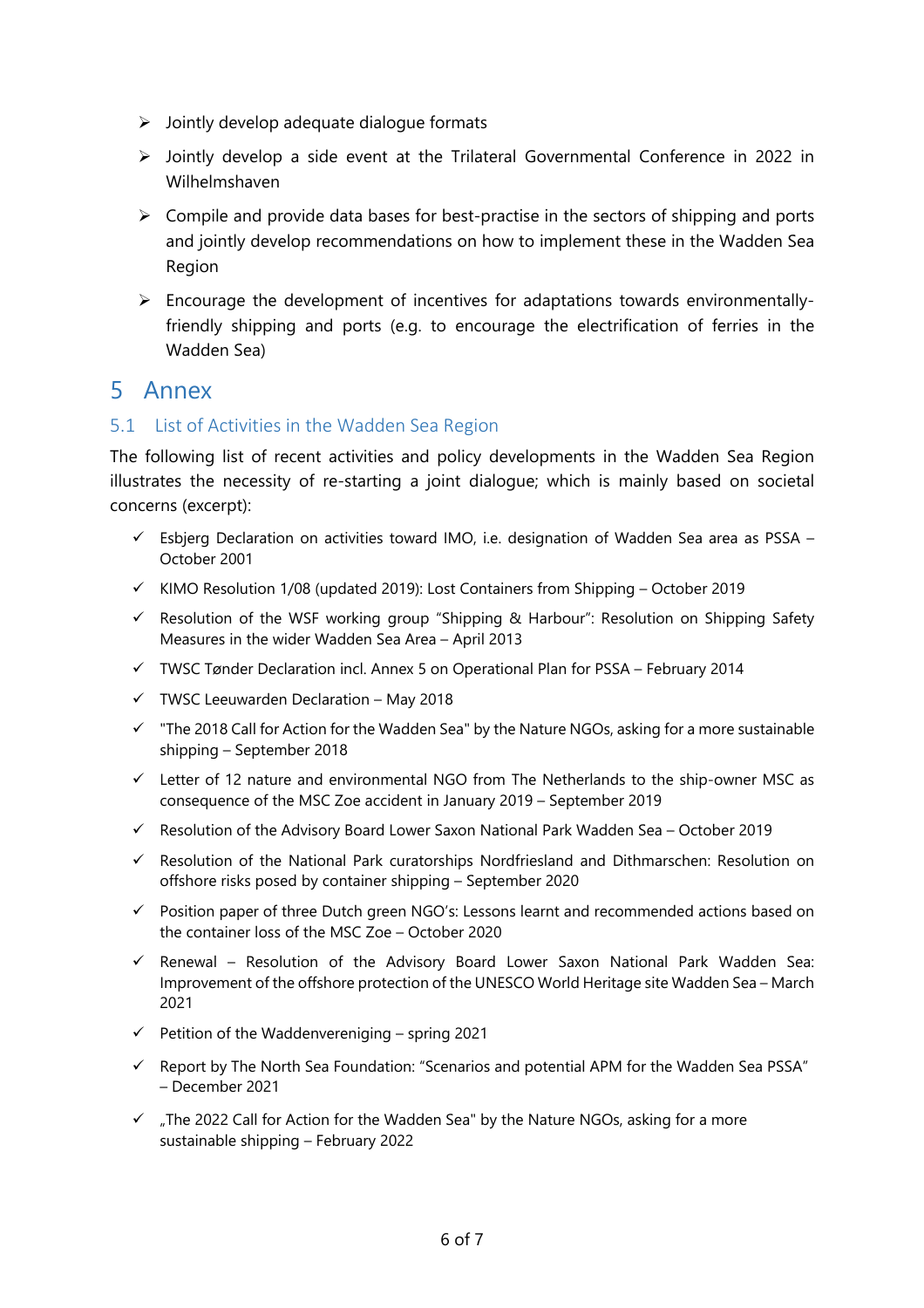- $\triangleright$  Jointly develop adequate dialogue formats
- $\triangleright$  Jointly develop a side event at the Trilateral Governmental Conference in 2022 in Wilhelmshaven
- $\triangleright$  Compile and provide data bases for best-practise in the sectors of shipping and ports and jointly develop recommendations on how to implement these in the Wadden Sea Region
- $\triangleright$  Encourage the development of incentives for adaptations towards environmentallyfriendly shipping and ports (e.g. to encourage the electrification of ferries in the Wadden Sea)

## 5 Annex

#### 5.1 List of Activities in the Wadden Sea Region

The following list of recent activities and policy developments in the Wadden Sea Region illustrates the necessity of re-starting a joint dialogue; which is mainly based on societal concerns (excerpt):

- $\checkmark$  Esbjerg Declaration on activities toward IMO, i.e. designation of Wadden Sea area as PSSA October 2001
- $\checkmark$  KIMO Resolution 1/08 (updated 2019): Lost Containers from Shipping October 2019
- $\checkmark$  Resolution of the WSF working group "Shipping & Harbour": Resolution on Shipping Safety Measures in the wider Wadden Sea Area – April 2013
- $\checkmark$  TWSC Tønder Declaration incl. Annex 5 on Operational Plan for PSSA February 2014
- $\checkmark$  TWSC Leeuwarden Declaration May 2018
- $\checkmark$  "The 2018 Call for Action for the Wadden Sea" by the Nature NGOs, asking for a more sustainable shipping – September 2018
- $\checkmark$  Letter of 12 nature and environmental NGO from The Netherlands to the ship-owner MSC as consequence of the MSC Zoe accident in January 2019 – September 2019
- $\checkmark$  Resolution of the Advisory Board Lower Saxon National Park Wadden Sea October 2019
- $\checkmark$  Resolution of the National Park curatorships Nordfriesland and Dithmarschen: Resolution on offshore risks posed by container shipping – September 2020
- $\checkmark$  Position paper of three Dutch green NGO's: Lessons learnt and recommended actions based on the container loss of the MSC Zoe – October 2020
- $\checkmark$  Renewal Resolution of the Advisory Board Lower Saxon National Park Wadden Sea: Improvement of the offshore protection of the UNESCO World Heritage site Wadden Sea – March 2021
- $\checkmark$  Petition of the Waddenvereniging spring 2021
- $\checkmark$  Report by The North Sea Foundation: "Scenarios and potential APM for the Wadden Sea PSSA" – December 2021
- $\checkmark$  . The 2022 Call for Action for the Wadden Sea" by the Nature NGOs, asking for a more sustainable shipping – February 2022